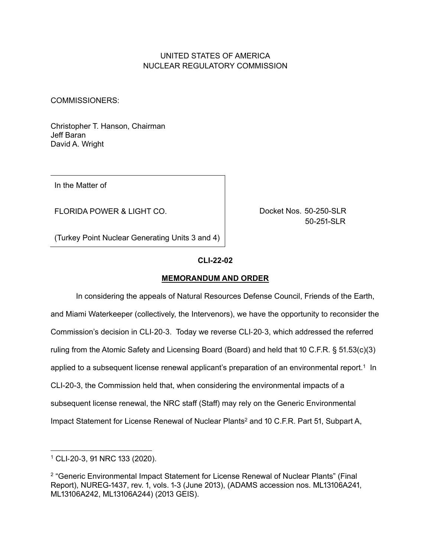# UNITED STATES OF AMERICA NUCLEAR REGULATORY COMMISSION

COMMISSIONERS:

Christopher T. Hanson, Chairman Jeff Baran David A. Wright

In the Matter of

FLORIDA POWER & LIGHT CO.

Docket Nos. 50-250-SLR 50-251-SLR

(Turkey Point Nuclear Generating Units 3 and 4)

## **CLI-൭൭-൫൭**

## **MEMORANDUM AND ORDER**

In considering the appeals of Natural Resources Defense Council, Friends of the Earth, and Miami Waterkeeper (collectively, the Intervenors), we have the opportunity to reconsider the Commission's decision in CLI-20-3. Today we reverse CLI-20-3, which addressed the referred ruling from the Atomic Safety and Licensing Board (Board) and held that 10 C.F.R. §  $51.53(c)(3)$ applied to a subsequent license renewal applicant's preparation of an environmental report.<sup>1</sup> In CLI-20-3, the Commission held that, when considering the environmental impacts of a subsequent license renewal, the NRC staff (Staff) may rely on the Generic Environmental Impact Statement for License Renewal of Nuclear Plants<sup>2</sup> and 10 C.F.R. Part 51, Subpart A,

 $1$  CLI-20-3, 91 NRC 133 (2020).

<sup>2 &</sup>quot;Generic Environmental Impact Statement for License Renewal of Nuclear Plants" (Final Report), NUREG-1437, rev. 1, vols. 1-3 (June 2013), (ADAMS accession nos. ML13106A241, ML13106A242, ML13106A244) (2013 GEIS).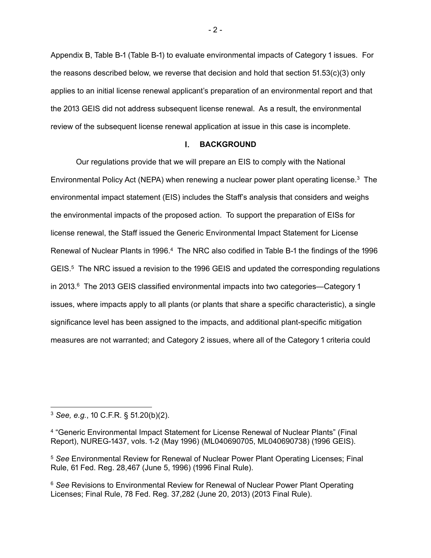Appendix B, Table B-1 (Table B-1) to evaluate environmental impacts of Category 1 issues. For the reasons described below, we reverse that decision and hold that section  $51.53(c)(3)$  only applies to an initial license renewal applicant's preparation of an environmental report and that the 2013 GEIS did not address subsequent license renewal. As a result, the environmental review of the subsequent license renewal application at issue in this case is incomplete.

#### $\mathbf{L}$ **BACKGROUND**

Our regulations provide that we will prepare an EIS to comply with the National Environmental Policy Act (NEPA) when renewing a nuclear power plant operating license.3 The environmental impact statement (EIS) includes the Staff's analysis that considers and weighs the environmental impacts of the proposed action. To support the preparation of EISs for license renewal, the Staff issued the Generic Environmental Impact Statement for License Renewal of Nuclear Plants in 1996.<sup>4</sup> The NRC also codified in Table B-1 the findings of the 1996  $GEIS<sup>5</sup>$  The NRC issued a revision to the 1996 GEIS and updated the corresponding regulations in 2013. $^6$  The 2013 GEIS classified environmental impacts into two categories—Category 1 issues, where impacts apply to all plants (or plants that share a specific characteristic), a single significance level has been assigned to the impacts, and additional plant-specific mitigation measures are not warranted; and Category 2 issues, where all of the Category 1 criteria could

 $3$  *See, e.g.*, 10 C.F.R. §  $51.20(b)(2)$ .

<sup>4 &</sup>quot;Generic Environmental Impact Statement for License Renewal of Nuclear Plants" (Final Report), NUREG-1437, vols. 1-2 (May 1996) (ML040690705, ML040690738) (1996 GEIS).

<sup>5</sup> *See* Environmental Review for Renewal of Nuclear Power Plant Operating Licenses; Final Rule, 61 Fed. Reg. 28,467 (June 5, 1996) (1996 Final Rule).

<sup>6</sup> *See* Revisions to Environmental Review for Renewal of Nuclear Power Plant Operating Licenses; Final Rule, 78 Fed. Reg. 37,282 (June 20, 2013) (2013 Final Rule).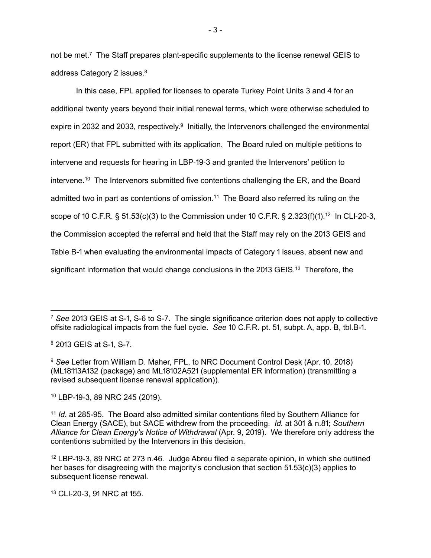not be met.<sup>7</sup> The Staff prepares plant-specific supplements to the license renewal GEIS to address Category 2 issues.<sup>8</sup>

In this case, FPL applied for licenses to operate Turkey Point Units 3 and 4 for an additional twenty years beyond their initial renewal terms, which were otherwise scheduled to expire in 2032 and 2033, respectively.<sup>9</sup> Initially, the Intervenors challenged the environmental report (ER) that FPL submitted with its application. The Board ruled on multiple petitions to intervene and requests for hearing in LBP-19-3 and granted the Intervenors' petition to intervene.<sup>10</sup> The Intervenors submitted five contentions challenging the ER, and the Board admitted two in part as contentions of omission.<sup>11</sup> The Board also referred its ruling on the scope of 10 C.F.R. §  $51.53(c)(3)$  to the Commission under 10 C.F.R. §  $2.323(f)(1).12$  In CLI-20-3, the Commission accepted the referral and held that the Staff may rely on the 2013 GEIS and Table B-1 when evaluating the environmental impacts of Category 1 issues, absent new and significant information that would change conclusions in the  $2013$  GEIS.<sup>13</sup> Therefore, the

8 2013 GEIS at S-1, S-7.

10 LBP-19-3, 89 NRC 245 (2019).

 $-3 -$ 

<sup>&</sup>lt;sup>7</sup> See 2013 GEIS at S-1, S-6 to S-7. The single significance criterion does not apply to collective offsite radiological impacts from the fuel cycle. *See* 10 C.F.R. pt. 51, subpt. A, app. B, tbl.B-1.

<sup>&</sup>lt;sup>9</sup> See Letter from William D. Maher, FPL, to NRC Document Control Desk (Apr. 10, 2018) (ML18113A132 (package) and ML18102A521 (supplemental ER information) (transmitting a revised subsequent license renewal application)).

<sup>&</sup>lt;sup>11</sup> *Id.* at 285-95. The Board also admitted similar contentions filed by Southern Alliance for Clean Energy (SACE), but SACE withdrew from the proceeding. *Id.* at 301 & n.81; *Southern* Alliance for Clean Energy's Notice of Withdrawal (Apr. 9, 2019). We therefore only address the contentions submitted by the Intervenors in this decision.

 $12$  LBP-19-3, 89 NRC at 273 n.46. Judge Abreu filed a separate opinion, in which she outlined her bases for disagreeing with the majority's conclusion that section  $51.53(c)(3)$  applies to subsequent license renewal.

<sup>13</sup> CLI-20-3, 91 NRC at 155.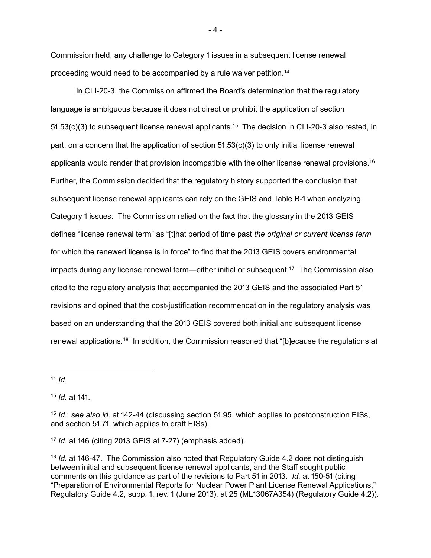Commission held, any challenge to Category 1 issues in a subsequent license renewal proceeding would need to be accompanied by a rule waiver petition.14

In CLI-20-3, the Commission affirmed the Board's determination that the regulatory language is ambiguous because it does not direct or prohibit the application of section 51.53(c)(3) to subsequent license renewal applicants.<sup>15</sup> The decision in CLI-20-3 also rested, in part, on a concern that the application of section  $51.53(c)(3)$  to only initial license renewal applicants would render that provision incompatible with the other license renewal provisions.<sup>16</sup> Further, the Commission decided that the regulatory history supported the conclusion that subsequent license renewal applicants can rely on the GEIS and Table B-1 when analyzing Category 1 issues. The Commission relied on the fact that the glossary in the 2013 GEIS defines "license renewal term" as "[t]hat period of time past *the original or current license term*  for which the renewed license is in force" to find that the 2013 GEIS covers environmental impacts during any license renewal term—either initial or subsequent.<sup>17</sup> The Commission also cited to the regulatory analysis that accompanied the 2013 GEIS and the associated Part 51 revisions and opined that the cost-justification recommendation in the regulatory analysis was based on an understanding that the 2013 GEIS covered both initial and subsequent license renewal applications.18 In addition, the Commission reasoned that "[b]ecause the regulations at

<sup>14</sup> *Id.*

15 *Id.* at 141.

17 *Id.* at 146 (citing 2013 GEIS at 7-27) (emphasis added).

<sup>18</sup> *Id.* at 146-47. The Commission also noted that Regulatory Guide 4.2 does not distinguish between initial and subsequent license renewal applicants, and the Staff sought public comments on this guidance as part of the revisions to Part 51 in 2013. *Id.* at 150-51 (citing "Preparation of Environmental Reports for Nuclear Power Plant License Renewal Applications," Regulatory Guide 4.2, supp. 1, rev. 1 (June 2013), at 25 (ML13067A354) (Regulatory Guide 4.2)).

 $-4 -$ 

<sup>16</sup> *Id.*; see also id. at 142-44 (discussing section 51.95, which applies to postconstruction EISs, and section 51.71, which applies to draft EISs).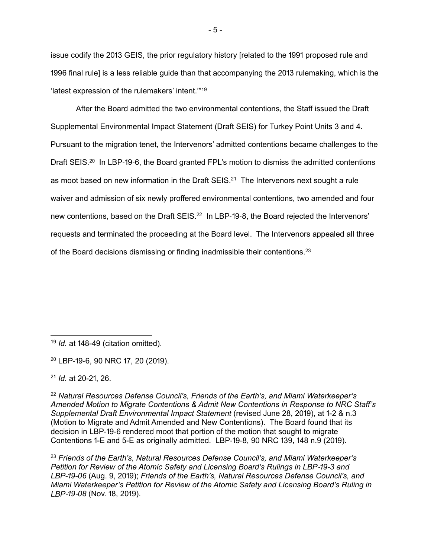issue codify the 2013 GEIS, the prior regulatory history [related to the 1991 proposed rule and 1996 final rule] is a less reliable guide than that accompanying the 2013 rulemaking, which is the 'latest expression of the rulemakers' intent.'"19

After the Board admitted the two environmental contentions, the Staff issued the Draft Supplemental Environmental Impact Statement (Draft SEIS) for Turkey Point Units 3 and 4. Pursuant to the migration tenet, the Intervenors' admitted contentions became challenges to the Draft SEIS.<sup>20</sup> In LBP-19-6, the Board granted FPL's motion to dismiss the admitted contentions as moot based on new information in the Draft  $SEIS<sup>21</sup>$  The Intervenors next sought a rule waiver and admission of six newly proffered environmental contentions, two amended and four new contentions, based on the Draft SEIS.<sup>22</sup> In LBP-19-8, the Board rejected the Intervenors' requests and terminated the proceeding at the Board level. The Intervenors appealed all three of the Board decisions dismissing or finding inadmissible their contentions.23

<sup>21</sup> *Id.* at 20-21, 26.

<sup>22</sup> *Natural Resources Defense Council's, Friends of the Earth's, and Miami Waterkeeper's Amended Motion to Migrate Contentions & Admit New Contentions in Response to NRC Staff's Supplemental Draft Environmental Impact Statement* (revised June 28, 2019), at 1-2 & n.3 (Motion to Migrate and Admit Amended and New Contentions). The Board found that its decision in LBP-19-6 rendered moot that portion of the motion that sought to migrate Contentions 1-E and 5-E as originally admitted. LBP-19-8,  $90$  NRC 139, 148 n. $9$  (2019).

<sup>23</sup> *Friends of the Earth's, Natural Resources Defense Council's, and Miami Waterkeeper's Petition for Review of the Atomic Safety and Licensing Board's Rulings in LBP-19-3 and LBP-19-06 (Aug. 9, 2019); Friends of the Earth's, Natural Resources Defense Council's, and Miami Waterkeeper's Petition for Review of the Atomic Safety and Licensing Board's Ruling in LBP-19-08* (Nov. 18, 2019).

<sup>&</sup>lt;sup>19</sup> *Id.* at 148-49 (citation omitted).

<sup>&</sup>lt;sup>20</sup> LBP-19-6, 90 NRC 17, 20 (2019).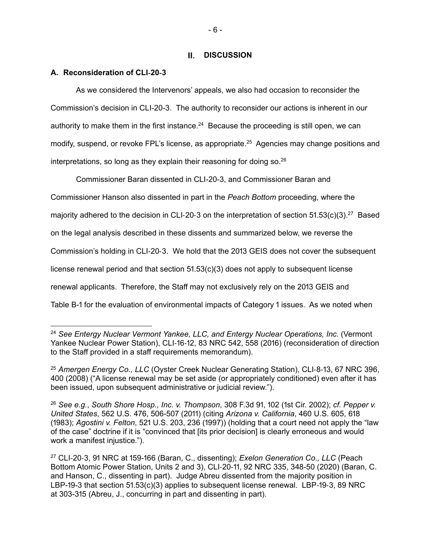# **II.** DISCUSSION

# **A. Reconsideration of CLI-20-3**

As we considered the Intervenors' appeals, we also had occasion to reconsider the Commission's decision in CLI-20-3. The authority to reconsider our actions is inherent in our authority to make them in the first instance.<sup>24</sup> Because the proceeding is still open, we can modify, suspend, or revoke FPL's license, as appropriate.<sup>25</sup> Agencies may change positions and interpretations, so long as they explain their reasoning for doing so.26

Commissioner Baran dissented in CLI-20-3, and Commissioner Baran and Commissioner Hanson also dissented in part in the *Peach Bottom* proceeding, where the majority adhered to the decision in CLI-20-3 on the interpretation of section  $51.53(c)(3).^{27}$  Based on the legal analysis described in these dissents and summarized below, we reverse the Commission's holding in CLI-20-3. We hold that the 2013 GEIS does not cover the subsequent license renewal period and that section  $51.53(c)(3)$  does not apply to subsequent license renewal applicants. Therefore, the Staff may not exclusively rely on the 2013 GEIS and Table B-1 for the evaluation of environmental impacts of Category 1 issues. As we noted when

<sup>24</sup> *See Entergy Nuclear Vermont Yankee, LLC, and Entergy Nuclear Operations, Inc.* (Vermont Yankee Nuclear Power Station), CLI-16-12, 83 NRC 542, 558 (2016) (reconsideration of direction to the Staff provided in a staff requirements memorandum).

<sup>&</sup>lt;sup>25</sup> Amergen Energy Co., LLC (Oyster Creek Nuclear Generating Station), CLI-8-13, 67 NRC 396, 400 (2008) ("A license renewal may be set aside (or appropriately conditioned) even after it has been issued, upon subsequent administrative or judicial review.").

<sup>26</sup> See e.g., South Shore Hosp., Inc. v. Thompson, 308 F.3d 91, 102 (1st Cir. 2002); *cf. Pepper v. United States*, 562 U.S. 476, 506-507 (2011) (citing *Arizona v. California*, 460 U.S. 605, 618 (1983); *Agostini v. Felton*, 521 U.S. 203, 236 (1997)) (holding that a court need not apply the "law of the case" doctrine if it is "convinced that [its prior decision] is clearly erroneous and would work a manifest injustice.").

<sup>&</sup>lt;sup>27</sup> CLI-20-3, 91 NRC at 159-166 (Baran, C., dissenting); *Exelon Generation Co., LLC* (Peach Bottom Atomic Power Station, Units 2 and 3), CLI-20-11, 92 NRC 335, 348-50 (2020) (Baran, C. and Hanson, C., dissenting in part). Judge Abreu dissented from the majority position in LBP-19-3 that section  $51.53(c)(3)$  applies to subsequent license renewal. LBP-19-3, 89 NRC at 303-315 (Abreu, J., concurring in part and dissenting in part).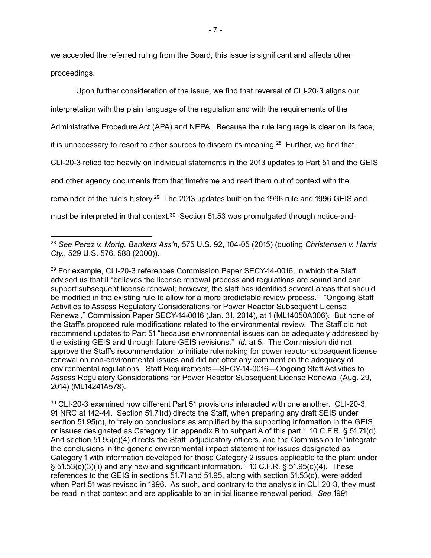we accepted the referred ruling from the Board, this issue is significant and affects other proceedings.

Upon further consideration of the issue, we find that reversal of CLI-20-3 aligns our interpretation with the plain language of the regulation and with the requirements of the Administrative Procedure Act (APA) and NEPA. Because the rule language is clear on its face, it is unnecessary to resort to other sources to discern its meaning. $28$  Further, we find that CLI-20-3 relied too heavily on individual statements in the 2013 updates to Part 51 and the GEIS and other agency documents from that timeframe and read them out of context with the remainder of the rule's history.<sup>29</sup> The 2013 updates built on the 1996 rule and 1996 GEIS and must be interpreted in that context.<sup>30</sup> Section 51.53 was promulgated through notice-and-

 $29$  For example, CLI-20-3 references Commission Paper SECY-14-0016, in which the Staff advised us that it "believes the license renewal process and regulations are sound and can support subsequent license renewal; however, the staff has identified several areas that should be modified in the existing rule to allow for a more predictable review process." "Ongoing Staff Activities to Assess Regulatory Considerations for Power Reactor Subsequent License Renewal," Commission Paper SECY-14-0016 (Jan. 31, 2014), at 1 (ML14050A306). But none of the Staff's proposed rule modifications related to the environmental review. The Staff did not recommend updates to Part 51 "because environmental issues can be adequately addressed by the existing GEIS and through future GEIS revisions." *Id.* at 5. The Commission did not approve the Staff's recommendation to initiate rulemaking for power reactor subsequent license renewal on non-environmental issues and did not offer any comment on the adequacy of environmental regulations. Staff Reguirements—SECY-14-0016—Ongoing Staff Activities to Assess Regulatory Considerations for Power Reactor Subsequent License Renewal (Aug. 29, 2014) (ML14241A578).

30 CLI-20-3 examined how different Part 51 provisions interacted with one another. CLI-20-3, 91 NRC at 142-44. Section 51.71(d) directs the Staff, when preparing any draft SEIS under section  $51.95(c)$ , to "rely on conclusions as amplified by the supporting information in the GEIS or issues designated as Category 1 in appendix B to subpart A of this part." 10 C.F.R. § 51.71(d). And section  $51.95(c)(4)$  directs the Staff, adjudicatory officers, and the Commission to "integrate" the conclusions in the generic environmental impact statement for issues designated as Category 1 with information developed for those Category 2 issues applicable to the plant under §  $51.53(c)(3)(ii)$  and any new and significant information." 10 C.F.R. §  $51.95(c)(4)$ . These references to the GEIS in sections  $51.71$  and  $51.95$ , along with section  $51.53(c)$ , were added when Part 51 was revised in 1996. As such, and contrary to the analysis in CLI-20-3, they must be read in that context and are applicable to an initial license renewal period. See 1991

<sup>&</sup>lt;sup>28</sup> See Perez v. Mortg. Bankers Ass'n, 575 U.S. 92, 104-05 (2015) (quoting *Christensen v. Harris Cty.*, 529 U.S. 576, 588 (2000)).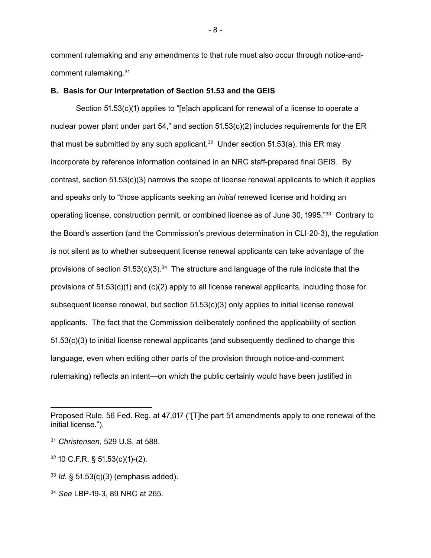comment rulemaking and any amendments to that rule must also occur through notice-andcomment rulemaking.31

#### **B. Basis for Our Interpretation of Section 51.53 and the GEIS**

Section  $51.53(c)(1)$  applies to "[e]ach applicant for renewal of a license to operate a nuclear power plant under part  $54$ ," and section  $51.53(c)(2)$  includes requirements for the ER that must be submitted by any such applicant.<sup>32</sup> Under section  $51.53(a)$ , this ER may incorporate by reference information contained in an NRC staff-prepared final GEIS. By contrast, section  $51.53(c)(3)$  narrows the scope of license renewal applicants to which it applies and speaks only to "those applicants seeking an *initial* renewed license and holding an operating license, construction permit, or combined license as of June 30, 1995."<sup>33</sup> Contrary to the Board's assertion (and the Commission's previous determination in CLI-20-3), the regulation is not silent as to whether subsequent license renewal applicants can take advantage of the provisions of section  $51.53(c)(3).34$  The structure and language of the rule indicate that the provisions of  $51.53(c)(1)$  and  $(c)(2)$  apply to all license renewal applicants, including those for subsequent license renewal, but section  $51.53(c)(3)$  only applies to initial license renewal applicants. The fact that the Commission deliberately confined the applicability of section  $51.53(c)(3)$  to initial license renewal applicants (and subsequently declined to change this language, even when editing other parts of the provision through notice-and-comment rulemaking) reflects an intent—on which the public certainly would have been justified in

 $- 8 -$ 

Proposed Rule, 56 Fed. Reg. at 47,017 ("[T]he part 51 amendments apply to one renewal of the initial license.").

<sup>31</sup> *Christensen*, 529 U.S. at 588.

 $32$  10 C.F.R. § 51.53(c)(1)-(2).

 $33$  *Id.* §  $51.53(c)(3)$  (emphasis added).

<sup>34</sup> See LBP-19-3, 89 NRC at 265.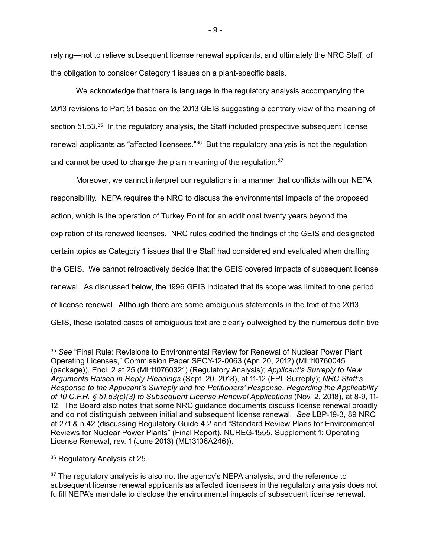relying—not to relieve subsequent license renewal applicants, and ultimately the NRC Staff, of the obligation to consider Category 1 issues on a plant-specific basis.

We acknowledge that there is language in the regulatory analysis accompanying the 2013 revisions to Part 51 based on the 2013 GEIS suggesting a contrary view of the meaning of section 51.53.<sup>35</sup> In the regulatory analysis, the Staff included prospective subsequent license renewal applicants as "affected licensees."<sup>36</sup> But the regulatory analysis is not the regulation and cannot be used to change the plain meaning of the regulation.<sup>37</sup>

Moreover, we cannot interpret our regulations in a manner that conflicts with our NEPA responsibility. NEPA requires the NRC to discuss the environmental impacts of the proposed action, which is the operation of Turkey Point for an additional twenty years beyond the expiration of its renewed licenses. NRC rules codified the findings of the GEIS and designated certain topics as Category 1 issues that the Staff had considered and evaluated when drafting the GEIS. We cannot retroactively decide that the GEIS covered impacts of subsequent license renewal. As discussed below, the 1996 GEIS indicated that its scope was limited to one period of license renewal. Although there are some ambiguous statements in the text of the 2013 GEIS, these isolated cases of ambiguous text are clearly outweighed by the numerous definitive

<sup>35</sup> *See* "Final Rule: Revisions to Environmental Review for Renewal of Nuclear Power Plant Operating Licenses," Commission Paper SECY-12-0063 (Apr. 20, 2012) (ML110760045 (package)), Encl. 2 at 25 (ML110760321) (Regulatory Analysis); *Applicant's Surreply to New Arguments Raised in Reply Pleadings (Sept. 20, 2018), at 11-12 (FPL Surreply); NRC Staff's Response to the Applicant's Surreply and the Petitioners' Response, Regarding the Applicability of 10 C.F.R. § 51.53(c)(3) to Subsequent License Renewal Applications (Nov. 2, 2018), at 8-9, 11-*12. The Board also notes that some NRC guidance documents discuss license renewal broadly and do not distinguish between initial and subsequent license renewal. *See LBP-19-3, 89 NRC* at 271 & n.42 (discussing Regulatory Guide 4.2 and "Standard Review Plans for Environmental Reviews for Nuclear Power Plants" (Final Report), NUREG-1555, Supplement 1: Operating License Renewal, rev. 1 (June 2013) (ML13106A246)).

<sup>36</sup> Regulatory Analysis at 25.

 $37$  The regulatory analysis is also not the agency's NEPA analysis, and the reference to subsequent license renewal applicants as affected licensees in the regulatory analysis does not fulfill NEPA's mandate to disclose the environmental impacts of subsequent license renewal.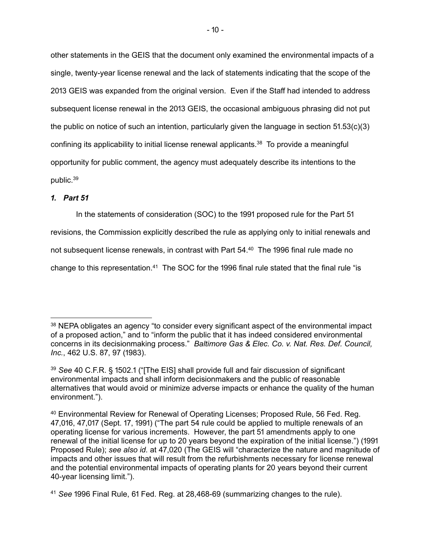other statements in the GEIS that the document only examined the environmental impacts of a single, twenty-year license renewal and the lack of statements indicating that the scope of the 2013 GEIS was expanded from the original version. Even if the Staff had intended to address subsequent license renewal in the 2013 GEIS, the occasional ambiguous phrasing did not put the public on notice of such an intention, particularly given the language in section  $51.53(c)(3)$ confining its applicability to initial license renewal applicants.<sup>38</sup> To provide a meaningful opportunity for public comment, the agency must adequately describe its intentions to the public.39

# *ਃ. Part ਇਃ*

In the statements of consideration (SOC) to the 1991 proposed rule for the Part 51

revisions, the Commission explicitly described the rule as applying only to initial renewals and

not subsequent license renewals, in contrast with Part 54.40 The 1996 final rule made no

change to this representation.<sup>41</sup> The SOC for the 1996 final rule stated that the final rule "is

<sup>&</sup>lt;sup>38</sup> NEPA obligates an agency "to consider every significant aspect of the environmental impact of a proposed action," and to "inform the public that it has indeed considered environmental concerns in its decisionmaking process." *Baltimore Gas & Elec. Co. v. Nat. Res. Def. Council, Inc.*, 462 U.S. 87, 97 (1983).

<sup>39</sup> See 40 C.F.R. § 1502.1 ("[The EIS] shall provide full and fair discussion of significant environmental impacts and shall inform decisionmakers and the public of reasonable alternatives that would avoid or minimize adverse impacts or enhance the quality of the human environment.").

<sup>40</sup> Environmental Review for Renewal of Operating Licenses; Proposed Rule, 56 Fed. Reg. 47,016, 47,017 (Sept. 17, 1991) ("The part 54 rule could be applied to multiple renewals of an operating license for various increments. However, the part 51 amendments apply to one renewal of the initial license for up to 20 years beyond the expiration of the initial license.") (1991 Proposed Rule); *see also id.* at 47,020 (The GEIS will "characterize the nature and magnitude of impacts and other issues that will result from the refurbishments necessary for license renewal and the potential environmental impacts of operating plants for 20 years beyond their current 40-year licensing limit.").

<sup>&</sup>lt;sup>41</sup> See 1996 Final Rule, 61 Fed. Reg. at 28,468-69 (summarizing changes to the rule).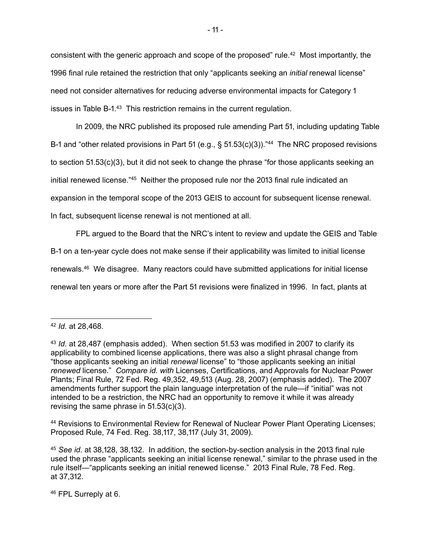consistent with the generic approach and scope of the proposed" rule.<sup>42</sup> Most importantly, the 1996 final rule retained the restriction that only "applicants seeking an *initial* renewal license" need not consider alternatives for reducing adverse environmental impacts for Category 1 issues in Table B-1.<sup>43</sup> This restriction remains in the current regulation.

In 2009, the NRC published its proposed rule amending Part 51, including updating Table B-1 and "other related provisions in Part 51 (e.g., § 51.53(c)(3))."<sup>44</sup> The NRC proposed revisions to section 51.53(c)(3), but it did not seek to change the phrase "for those applicants seeking an initial renewed license."<sup>45</sup> Neither the proposed rule nor the 2013 final rule indicated an expansion in the temporal scope of the 2013 GEIS to account for subsequent license renewal. In fact, subsequent license renewal is not mentioned at all.

FPL argued to the Board that the NRC's intent to review and update the GEIS and Table

B-1 on a ten-year cycle does not make sense if their applicability was limited to initial license renewals.46 We disagree. Many reactors could have submitted applications for initial license renewal ten years or more after the Part 51 revisions were finalized in 1996. In fact, plants at

44 Revisions to Environmental Review for Renewal of Nuclear Power Plant Operating Licenses; Proposed Rule, 74 Fed. Reg. 38,117, 38,117 (July 31, 2009).

45 See id. at 38,128, 38,132. In addition, the section-by-section analysis in the 2013 final rule used the phrase "applicants seeking an initial license renewal," similar to the phrase used in the rule itself—"applicants seeking an initial renewed license." 2013 Final Rule, 78 Fed. Reg. at 37,312.

46 FPL Surreply at 6.

<sup>42</sup> *Id.* at 28,468.

<sup>43</sup> *Id.* at 28,487 (emphasis added). When section 51.53 was modified in 2007 to clarify its applicability to combined license applications, there was also a slight phrasal change from "those applicants seeking an initial *renewal* license" to "those applicants seeking an initial *renewed* license." *Compare id. with* Licenses, Certifications, and Approvals for Nuclear Power Plants; Final Rule, 72 Fed. Reg. 49,352, 49,513 (Aug. 28, 2007) (emphasis added). The 2007 amendments further support the plain language interpretation of the rule—if "initial" was not intended to be a restriction, the NRC had an opportunity to remove it while it was already revising the same phrase in  $51.53(c)(3)$ .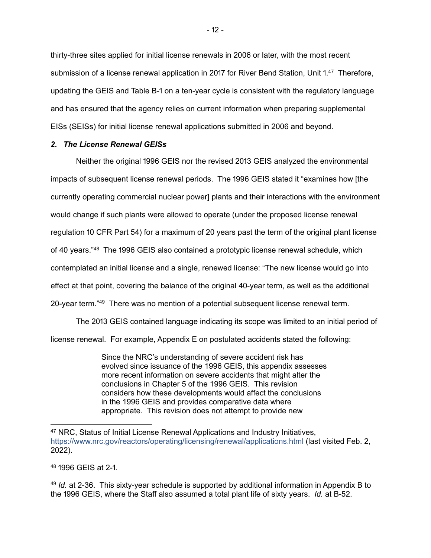thirty-three sites applied for initial license renewals in 2006 or later, with the most recent submission of a license renewal application in 2017 for River Bend Station, Unit 1.47 Therefore, updating the GEIS and Table B-1 on a ten-year cycle is consistent with the regulatory language and has ensured that the agency relies on current information when preparing supplemental EISs (SEISs) for initial license renewal applications submitted in 2006 and beyond.

## *. The License Renewal GEISs*

Neither the original 1996 GEIS nor the revised 2013 GEIS analyzed the environmental impacts of subsequent license renewal periods. The 1996 GEIS stated it "examines how [the currently operating commercial nuclear power] plants and their interactions with the environment would change if such plants were allowed to operate (under the proposed license renewal regulation 10 CFR Part 54) for a maximum of 20 years past the term of the original plant license of 40 years."<sup>48</sup> The 1996 GEIS also contained a prototypic license renewal schedule, which contemplated an initial license and a single, renewed license: "The new license would go into effect at that point, covering the balance of the original 40-year term, as well as the additional 20-year term."<sup>49</sup> There was no mention of a potential subsequent license renewal term.

The 2013 GEIS contained language indicating its scope was limited to an initial period of license renewal. For example, Appendix E on postulated accidents stated the following:

> Since the NRC's understanding of severe accident risk has evolved since issuance of the 1996 GEIS, this appendix assesses more recent information on severe accidents that might alter the conclusions in Chapter 5 of the 1996 GEIS. This revision considers how these developments would affect the conclusions in the 1996 GEIS and provides comparative data where appropriate. This revision does not attempt to provide new

48 1996 GFIS at 2-1

<sup>49</sup> *Id.* at 2-36. This sixty-year schedule is supported by additional information in Appendix B to the 1996 GEIS, where the Staff also assumed a total plant life of sixty years. *Id.* at B-52.

<sup>47</sup> NRC, Status of Initial License Renewal Applications and Industry Initiatives, https://www.nrc.gov/reactors/operating/licensing/renewal/applications.html (last visited Feb. 2,  $2022$ ).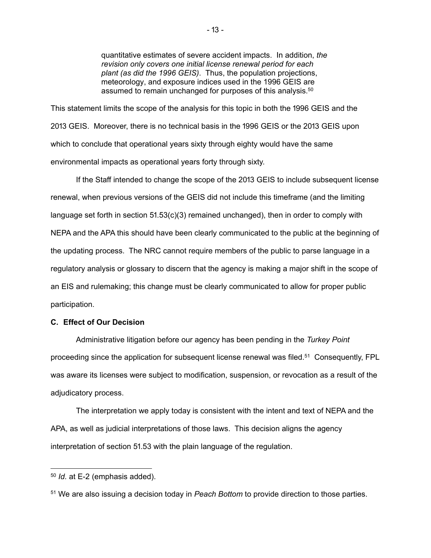quantitative estimates of severe accident impacts. In addition, *the revision only covers one initial license renewal period for each plant (as did the 1996 GEIS)*. Thus, the population projections, meteorology, and exposure indices used in the 1996 GEIS are assumed to remain unchanged for purposes of this analysis.<sup>50</sup>

This statement limits the scope of the analysis for this topic in both the 1996 GEIS and the 2013 GEIS. Moreover, there is no technical basis in the 1996 GEIS or the 2013 GEIS upon which to conclude that operational years sixty through eighty would have the same environmental impacts as operational years forty through sixty.

If the Staff intended to change the scope of the 2013 GEIS to include subsequent license renewal, when previous versions of the GEIS did not include this timeframe (and the limiting language set forth in section  $51.53(c)(3)$  remained unchanged), then in order to comply with NEPA and the APA this should have been clearly communicated to the public at the beginning of the updating process. The NRC cannot require members of the public to parse language in a regulatory analysis or glossary to discern that the agency is making a major shift in the scope of an EIS and rulemaking; this change must be clearly communicated to allow for proper public participation.

#### **C. Effect of Our Decision**

Administrative litigation before our agency has been pending in the *Turkey Point*  proceeding since the application for subsequent license renewal was filed.51 Consequently, FPL was aware its licenses were subject to modification, suspension, or revocation as a result of the adjudicatory process.

The interpretation we apply today is consistent with the intent and text of NEPA and the APA, as well as judicial interpretations of those laws. This decision aligns the agency interpretation of section 51.53 with the plain language of the regulation.

<sup>50</sup> *Id.* at E-2 (emphasis added).

<sup>51</sup> We are also issuing a decision today in *Peach Bottom* to provide direction to those parties.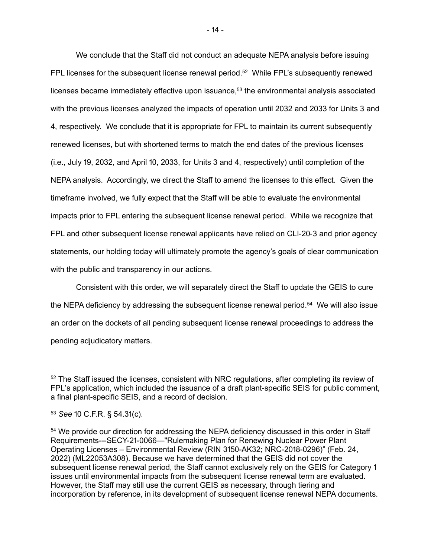We conclude that the Staff did not conduct an adequate NEPA analysis before issuing FPL licenses for the subsequent license renewal period.<sup>52</sup> While FPL's subsequently renewed licenses became immediately effective upon issuance, $53$  the environmental analysis associated with the previous licenses analyzed the impacts of operation until 2032 and 2033 for Units 3 and 4, respectively. We conclude that it is appropriate for FPL to maintain its current subsequently renewed licenses, but with shortened terms to match the end dates of the previous licenses  $(i.e., July 19, 2032, and April 10, 2033, for Units 3 and 4, respectively) until completion of the$ NEPA analysis. Accordingly, we direct the Staff to amend the licenses to this effect. Given the timeframe involved, we fully expect that the Staff will be able to evaluate the environmental impacts prior to FPL entering the subsequent license renewal period. While we recognize that FPL and other subsequent license renewal applicants have relied on CLI-20-3 and prior agency statements, our holding today will ultimately promote the agency's goals of clear communication with the public and transparency in our actions.

Consistent with this order, we will separately direct the Staff to update the GEIS to cure the NEPA deficiency by addressing the subsequent license renewal period.<sup>54</sup> We will also issue an order on the dockets of all pending subsequent license renewal proceedings to address the pending adjudicatory matters.

<sup>&</sup>lt;sup>52</sup> The Staff issued the licenses, consistent with NRC regulations, after completing its review of FPL's application, which included the issuance of a draft plant-specific SEIS for public comment, a final plant-specific SEIS, and a record of decision.

<sup>53</sup> **See 10 C.F.R. § 54.31(c).** 

<sup>&</sup>lt;sup>54</sup> We provide our direction for addressing the NEPA deficiency discussed in this order in Staff Requirements---SECY-21-0066—"Rulemaking Plan for Renewing Nuclear Power Plant Operating Licenses – Environmental Review (RIN 3150-AK32; NRC-2018-0296)" (Feb. 24, 2022) (ML22053A308). Because we have determined that the GEIS did not cover the subsequent license renewal period, the Staff cannot exclusively rely on the GEIS for Category 1 issues until environmental impacts from the subsequent license renewal term are evaluated. However, the Staff may still use the current GEIS as necessary, through tiering and incorporation by reference, in its development of subsequent license renewal NEPA documents.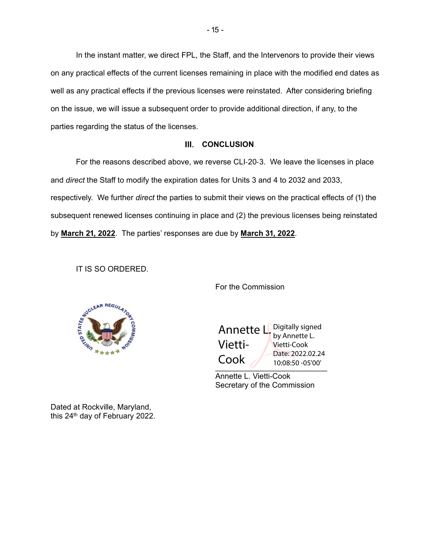In the instant matter, we direct FPL, the Staff, and the Intervenors to provide their views on any practical effects of the current licenses remaining in place with the modified end dates as well as any practical effects if the previous licenses were reinstated. After considering briefing on the issue, we will issue a subsequent order to provide additional direction, if any, to the parties regarding the status of the licenses.

#### **III. CONCLUSION**

For the reasons described above, we reverse CLI-20-3. We leave the licenses in place and *direct* the Staff to modify the expiration dates for Units 3 and 4 to 2032 and 2033, respectively. We further *direct* the parties to submit their views on the practical effects of (1) the subsequent renewed licenses continuing in place and (2) the previous licenses being reinstated by March 21, 2022. The parties' responses are due by March 31, 2022.

IT IS SO ORDERED.

**REGI** 

For the Commission

\_\_\_\_\_\_\_\_\_\_\_\_\_\_\_\_\_\_\_\_\_\_\_\_\_\_ Annette L. Vietti-Cook Digitally signed by Annette L. Vietti-Cook Date: 2022.02.24 10:08:50 -05'00'

Annette L. Vietti-Cook Secretary of the Commission

Dated at Rockville, Maryland, this 24<sup>th</sup> day of February 2022.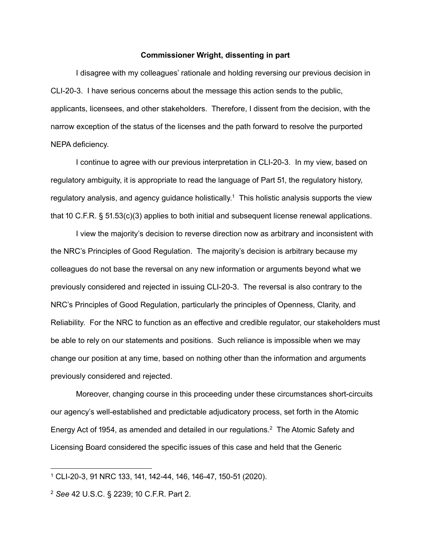#### **Commissioner Wright, dissenting in part**

I disagree with my colleagues' rationale and holding reversing our previous decision in CLI-20-3. I have serious concerns about the message this action sends to the public, applicants, licensees, and other stakeholders. Therefore, I dissent from the decision, with the narrow exception of the status of the licenses and the path forward to resolve the purported NEPA deficiency.

I continue to agree with our previous interpretation in CLI-20-3. In my view, based on regulatory ambiguity, it is appropriate to read the language of Part 51, the regulatory history, regulatory analysis, and agency guidance holistically.<sup>1</sup> This holistic analysis supports the view that 10 C.F.R.  $\S$  51.53(c)(3) applies to both initial and subsequent license renewal applications.

I view the majority's decision to reverse direction now as arbitrary and inconsistent with the NRC's Principles of Good Regulation. The majority's decision is arbitrary because my colleagues do not base the reversal on any new information or arguments beyond what we previously considered and rejected in issuing CLI-20-3. The reversal is also contrary to the NRC's Principles of Good Regulation, particularly the principles of Openness, Clarity, and Reliability. For the NRC to function as an effective and credible regulator, our stakeholders must be able to rely on our statements and positions. Such reliance is impossible when we may change our position at any time, based on nothing other than the information and arguments previously considered and rejected.

Moreover, changing course in this proceeding under these circumstances short-circuits our agency's well-established and predictable adjudicatory process, set forth in the Atomic Energy Act of 1954, as amended and detailed in our regulations.<sup>2</sup> The Atomic Safety and Licensing Board considered the specific issues of this case and held that the Generic

<sup>1</sup> CLI-20-3, 91 NRC 133, 141, 142-44, 146, 146-47, 150-51 (2020).

<sup>&</sup>lt;sup>2</sup> See 42 U.S.C. § 2239; 10 C.F.R. Part 2.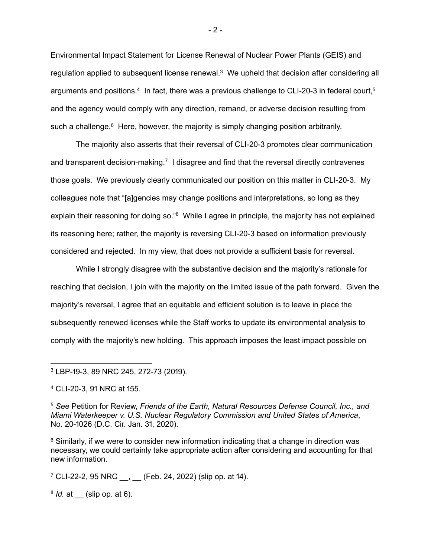Environmental Impact Statement for License Renewal of Nuclear Power Plants (GEIS) and regulation applied to subsequent license renewal.<sup>3</sup> We upheld that decision after considering all arguments and positions.<sup>4</sup> In fact, there was a previous challenge to CLI-20-3 in federal court,<sup>5</sup> and the agency would comply with any direction, remand, or adverse decision resulting from such a challenge.<sup>6</sup> Here, however, the majority is simply changing position arbitrarily.

The majority also asserts that their reversal of CLI-20-3 promotes clear communication and transparent decision-making.<sup>7</sup> I disagree and find that the reversal directly contravenes those goals. We previously clearly communicated our position on this matter in CLI-20-3. My colleagues note that "[a]gencies may change positions and interpretations, so long as they explain their reasoning for doing so."<sup>8</sup> While I agree in principle, the majority has not explained its reasoning here; rather, the majority is reversing CLI-20-3 based on information previously considered and rejected. In my view, that does not provide a sufficient basis for reversal.

While I strongly disagree with the substantive decision and the majority's rationale for reaching that decision, I join with the majority on the limited issue of the path forward. Given the majority's reversal, I agree that an equitable and efficient solution is to leave in place the subsequently renewed licenses while the Staff works to update its environmental analysis to comply with the majority's new holding. This approach imposes the least impact possible on

 $7$  CLI-22-2, 95 NRC  $\,$ , (Feb. 24, 2022) (slip op. at 14).

8 *Id.* at (slip op. at 6).

 $-2-$ 

<sup>3</sup> LBP-19-3, 89 NRC 245, 272-73 (2019).

<sup>4</sup> CLI-20-3, 91 NRC at 155.

<sup>5</sup> *See* Petition for Review, *Friends of the Earth, Natural Resources Defense Council, Inc., and Miami Waterkeeper v. U.S. Nuclear Regulatory Commission and United States of America*, No. 20-1026 (D.C. Cir. Jan. 31, 2020).

<sup>&</sup>lt;sup>6</sup> Similarly, if we were to consider new information indicating that a change in direction was necessary, we could certainly take appropriate action after considering and accounting for that new information.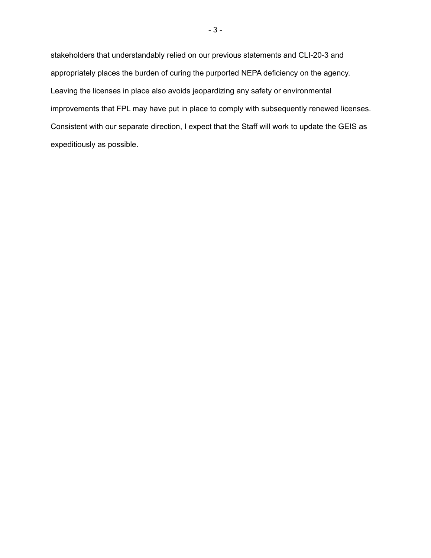stakeholders that understandably relied on our previous statements and CLI-20-3 and appropriately places the burden of curing the purported NEPA deficiency on the agency. Leaving the licenses in place also avoids jeopardizing any safety or environmental improvements that FPL may have put in place to comply with subsequently renewed licenses. Consistent with our separate direction, I expect that the Staff will work to update the GEIS as expeditiously as possible.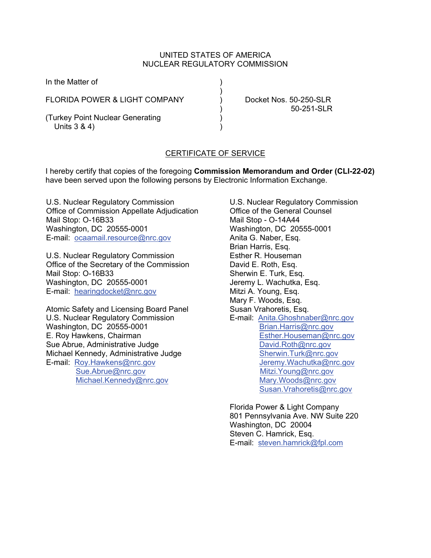## UNITED STATES OF AMERICA NUCLEAR REGULATORY COMMISSION

In the Matter of  $)$ FLORIDA POWER & LIGHT COMPANY ) Docket Nos. 50-250-SLR

(Turkey Point Nuclear Generating ) Units 3 & 4)

) 50-251-SLR

# CERTIFICATE OF SERVICE

I hereby certify that copies of the foregoing **Commission Memorandum and Order (CLI-22-02)**  have been served upon the following persons by Electronic Information Exchange.

U.S. Nuclear Regulatory Commission Office of Commission Appellate Adjudication Mail Stop: O-16B33 Washington, DC 20555-0001 E-mail: ocaamail.resource@nrc.gov

U.S. Nuclear Regulatory Commission Office of the Secretary of the Commission Mail Stop: O-16B33 Washington, DC 20555-0001 E-mail: hearingdocket@nrc.gov

Atomic Safety and Licensing Board Panel U.S. Nuclear Regulatory Commission Washington, DC 20555-0001 E. Roy Hawkens, Chairman Sue Abrue, Administrative Judge Michael Kennedy, Administrative Judge E-mail: Roy.Hawkens@nrc.gov Sue.Abrue@nrc.gov Michael.Kennedy@nrc.gov

U.S. Nuclear Regulatory Commission Office of the General Counsel Mail Stop - O-14A44 Washington, DC 20555-0001 Anita G. Naber, Esq. Brian Harris, Esq. Esther R. Houseman David E. Roth, Esq. Sherwin E. Turk, Esq. Jeremy L. Wachutka, Esq. Mitzi A. Young, Esq. Mary F. Woods, Esq. Susan Vrahoretis, Esq. E-mail: Anita.Ghoshnaber@nrc.gov Brian.Harris@nrc.gov Esther.Houseman@nrc.gov David.Roth@nrc.gov Sherwin.Turk@nrc.gov Jeremy.Wachutka@nrc.gov Mitzi.Young@nrc.gov Mary.Woods@nrc.gov Susan.Vrahoretis@nrc.gov

Florida Power & Light Company 801 Pennsylvania Ave. NW Suite 220 Washington, DC 20004 Steven C. Hamrick, Esq. E-mail: steven.hamrick@fpl.com